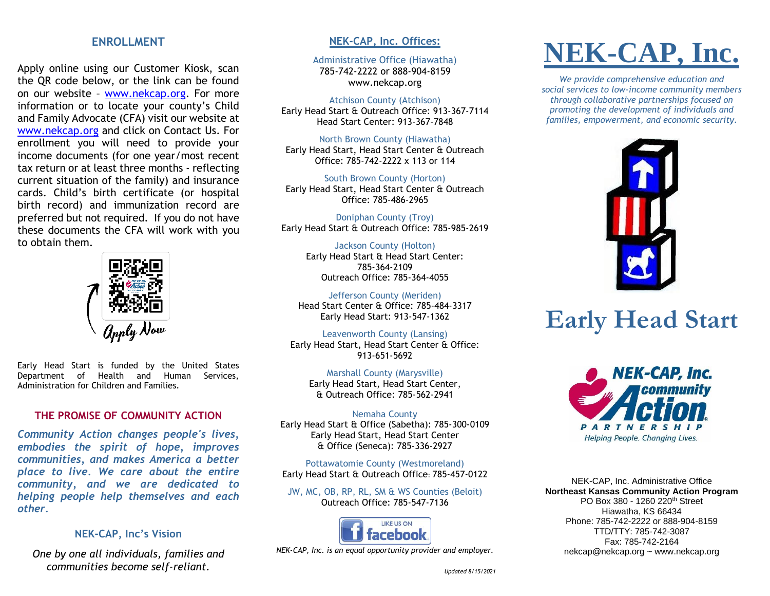### **ENROLLMENT**

Apply online using our Customer Kiosk, scan the QR code below, or the link can be found on our website – [www.nekcap.org.](http://www.nekcap.org/) For more information or to locate your county's Child and Family Advocate (CFA) visit our website at [www.nekcap.org](http://www.nekcap.org/) and click on Contact Us. For enrollment you will need to provide your income documents (for one year/most recent tax return or at least three months - reflecting current situation of the family) and insurance cards. Child's birth certificate (or hospital birth record) and immunization record are preferred but not required. If you do not have these documents the CFA will work with you to obtain them.



Early Head Start is funded by the United States Department of Health and Human Services, Administration for Children and Families.

### **THE PROMISE OF COMMUNITY ACTION**

*Community Action changes people's lives, embodies the spirit of hope, improves communities, and makes America a better place to live. We care about the entire community, and we are dedicated to helping people help themselves and each other.*

### **NEK-CAP, Inc's Vision**

*One by one all individuals, families and communities become self-reliant.*

### **NEK-CAP, Inc. Offices:**

Administrative Office (Hiawatha) 785-742-2222 or 888-904-8159 www.nekcap.org

#### Atchison County (Atchison)

Early Head Start & Outreach Office: 913-367-7114 Head Start Center: 913-367-7848

North Brown County (Hiawatha) Early Head Start, Head Start Center & Outreach Office: 785-742-2222 x 113 or 114

South Brown County (Horton) Early Head Start, Head Start Center & Outreach Office: 785-486-2965

Doniphan County (Troy) Early Head Start & Outreach Office: 785-985-2619

> Jackson County (Holton) Early Head Start & Head Start Center: 785-364-2109 Outreach Office: 785-364-4055

Jefferson County (Meriden) Head Start Center & Office: 785-484-3317 Early Head Start: 913-547-1362

Leavenworth County (Lansing) Early Head Start, Head Start Center & Office: 913-651-5692

Marshall County (Marysville) Early Head Start, Head Start Center, & Outreach Office: 785-562-2941

Nemaha County Early Head Start & Office (Sabetha): 785-300-0109 Early Head Start, Head Start Center & Office (Seneca): 785-336-2927

Pottawatomie County (Westmoreland) Early Head Start & Outreach Office: 785-457-0122

JW, MC, OB, RP, RL, SM & WS Counties (Beloit) Outreach Office: 785-547-7136



*NEK-CAP, Inc. is an equal opportunity provider and employer.*

# **NEK-CAP, Inc.**

*We provide comprehensive education and social services to low-income community members through collaborative partnerships focused on promoting the development of individuals and families, empowerment, and economic security.*



## **Early Head Start**



NEK-CAP, Inc. Administrative Office **Northeast Kansas Community Action Program** PO Box 380 - 1260 220<sup>th</sup> Street Hiawatha, KS 66434 Phone: 785-742-2222 or 888-904-8159 TTD/TTY: 785-742-3087 Fax: 785-742-2164 nekcap@nekcap.org ~ www.nekcap.org